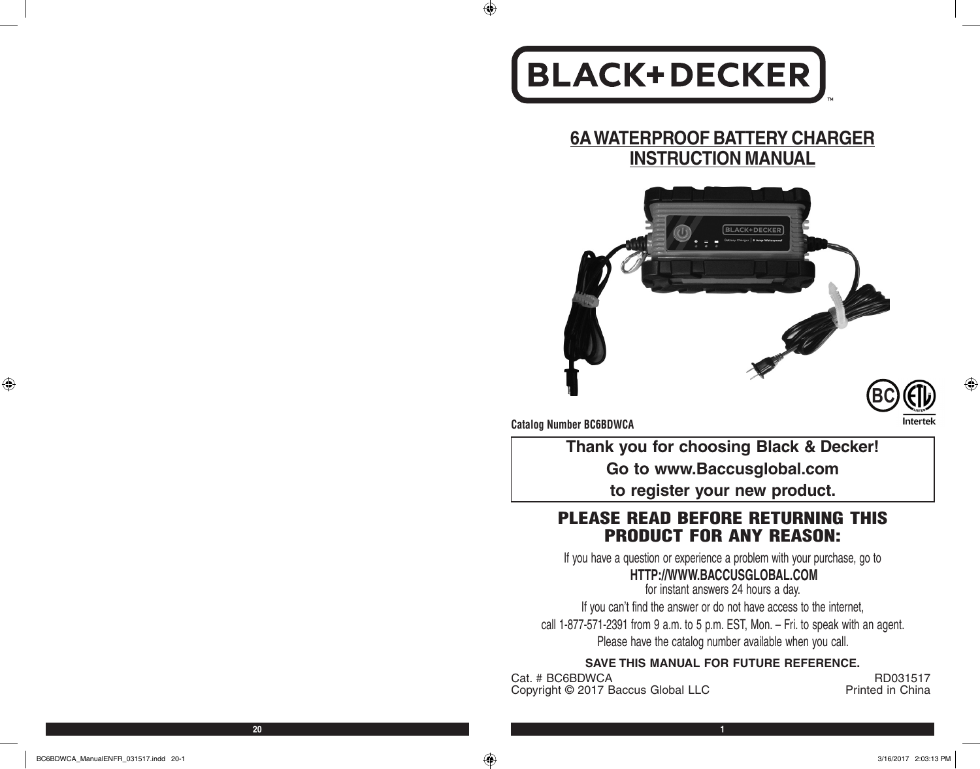# **BLACK+DECKER**

# **6A WATERPROOF BATTERY CHARGER INSTRUCTION MANUAL**





**Catalog Number BC6BDWCA**

 $\bigoplus$ 

**Thank you for choosing Black & Decker! Go to www.Baccusglobal.com to register your new product.**

# PLEASE READ BEFORE RETURNING THIS PRODUCT FOR ANY REASON:

If you have a question or experience a problem with your purchase, go to

# **HTTP://WWW.BACCUSGLOBAL.COM**

for instant answers 24 hours a day. If you can't find the answer or do not have access to the internet, call 1-877-571-2391 from 9 a.m. to 5 p.m. EST, Mon. – Fri. to speak with an agent. Please have the catalog number available when you call.

#### **SAVE THIS MANUAL FOR FUTURE REFERENCE.**

Cat. # BC6BDWCA RD031517<br>Convright © 2017 Baccus Global I I C Right Reserve Reference Refugees Copyright © 2017 Baccus Global LLC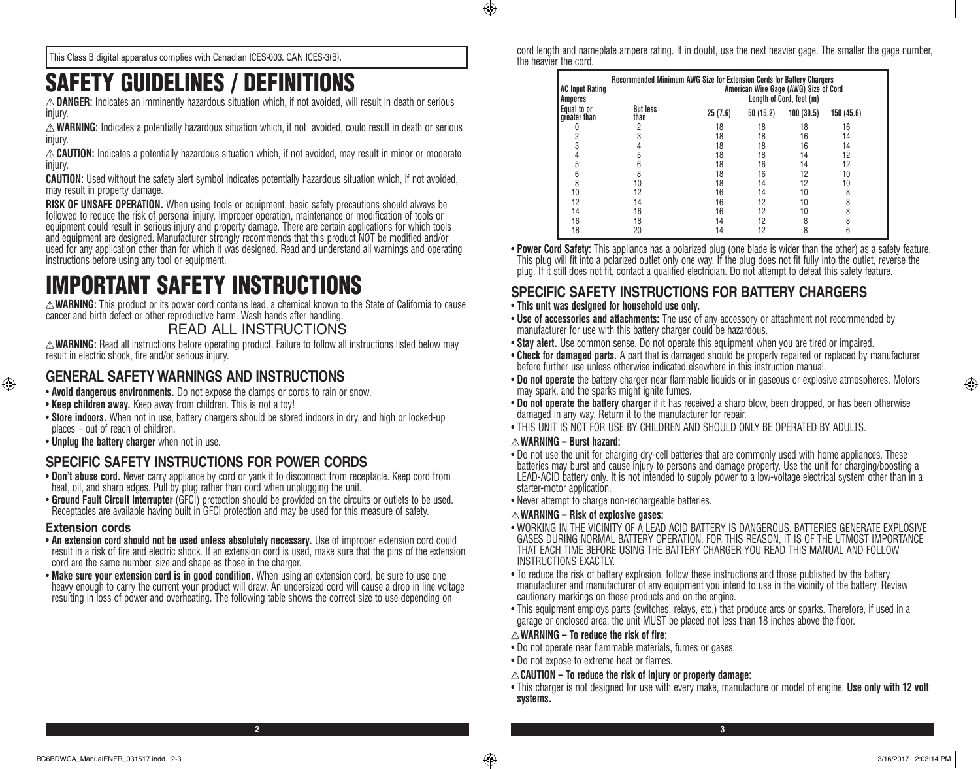$\bigoplus$ 

This Class B digital apparatus complies with Canadian ICES-003. CAN ICES-3(B).

# SAFETY GUIDELINES / DEFINITIONS

**DANGER:** Indicates an imminently hazardous situation which, if not avoided, will result in death or serious injury.

**WARNING:** Indicates a potentially hazardous situation which, if not avoided, could result in death or serious injury.

**CAUTION:** Indicates a potentially hazardous situation which, if not avoided, may result in minor or moderate injury.

**CAUTION:** Used without the safety alert symbol indicates potentially hazardous situation which, if not avoided, may result in property damage.

**RISK OF UNSAFE OPERATION.** When using tools or equipment, basic safety precautions should always be followed to reduce the risk of personal injury. Improper operation, maintenance or modification of tools or equipment could result in serious injury and property damage. There are certain applications for which tools and equipment are designed. Manufacturer strongly recommends that this product NOT be modified and/or used for any application other than for which it was designed. Read and understand all warnings and operating instructions before using any tool or equipment.

# IMPORTANT SAFETY INSTRUCTIONS

**WARNING:** This product or its power cord contains lead, a chemical known to the State of California to cause cancer and birth defect or other reproductive harm. Wash hands after handling.

#### READ ALL INSTRUCTIONS

**WARNING:** Read all instructions before operating product. Failure to follow all instructions listed below may result in electric shock, fire and/or serious injury.

## **GENERAL SAFETY WARNINGS AND INSTRUCTIONS**

- • **Avoid dangerous environments.** Do not expose the clamps or cords to rain or snow.
- **Keep children away.** Keep away from children. This is not a toy!
- **Store indoors.** When not in use, battery chargers should be stored indoors in dry, and high or locked-up places – out of reach of children.
- • **Unplug the battery charger** when not in use.

#### **SPECIFIC SAFETY INSTRUCTIONS FOR POWER CORDS**

- • **Don't abuse cord.** Never carry appliance by cord or yank it to disconnect from receptacle. Keep cord from heat, oil, and sharp edges. Pull by plug rather than cord when unplugging the unit.
- • **Ground Fault Circuit Interrupter** (GFCI) protection should be provided on the circuits or outlets to be used. Receptacles are available having built in GFCI protection and may be used for this measure of safety.

#### **Extension cords**

⊕

- An extension cord should not be used unless absolutely necessary. Use of improper extension cord could result in a risk of fire and electric shock. If an extension cord is used, make sure that the pins of the extension cord are the same number, size and shape as those in the charger.
- Make sure your extension cord is in good condition. When using an extension cord, be sure to use one heavy enough to carry the current your product will draw. An undersized cord will cause a drop in line voltage resulting in loss of power and overheating. The following table shows the correct size to use depending on

cord length and nameplate ampere rating. If in doubt, use the next heavier gage. The smaller the gage number, the heavier the cord.

| <b>AC Input Rating</b><br>Amperes | Recommended Minimum AWG Size for Extension Cords for Battery Chargers<br>American Wire Gage (AWG) Size of Cord<br>Length of Cord, feet (m) |         |          |           |           |  |
|-----------------------------------|--------------------------------------------------------------------------------------------------------------------------------------------|---------|----------|-----------|-----------|--|
| Equal to or<br>greater than       | <b>But less</b><br>than                                                                                                                    | 25(7.6) | 50(15.2) | 100(30.5) | 150(45.6) |  |
|                                   |                                                                                                                                            | 18      | 18       | 18        | 16        |  |
|                                   |                                                                                                                                            | 18      | 18       | 16        | 14        |  |
| 3                                 |                                                                                                                                            | 18      | 18       | 16        | 14        |  |
|                                   |                                                                                                                                            | 18      | 18       | 14        | 12        |  |
| 5                                 |                                                                                                                                            | 18      | 16       | 14        | 12        |  |
| 6                                 |                                                                                                                                            | 18      | 16       | 12        | 10        |  |
| 8                                 | 10                                                                                                                                         | 18      | 14       | 12        | 10        |  |
| 10                                | 12                                                                                                                                         | 16      | 14       | 10        | 8         |  |
| 12                                | 14                                                                                                                                         | 16      | 12       | 10        | 8         |  |
| 14                                | 16                                                                                                                                         | 16      | 12       | 10        | 8         |  |
| 16                                | 18                                                                                                                                         | 14      | 12       | 8         | 8         |  |
| 18                                | 20                                                                                                                                         | 14      | 12       | 8         | 6         |  |

• **Power Cord Safety:** This appliance has a polarized plug (one blade is wider than the other) as a safety feature. This plug will fit into a polarized outlet only one way. If the plug does not fit fully into the outlet, reverse the plug. If it still does not fit, contact a qualified electrician. Do not attempt to defeat this safety feature.

### **SPECIFIC SAFETY INSTRUCTIONS FOR BATTERY CHARGERS**

- • **This unit was designed for household use only.**
- Use of accessories and attachments: The use of any accessory or attachment not recommended by manufacturer for use with this battery charger could be hazardous.
- Stay alert. Use common sense. Do not operate this equipment when you are tired or impaired.
- • **Check for damaged parts.** A part that is damaged should be properly repaired or replaced by manufacturer before further use unless otherwise indicated elsewhere in this instruction manual.
- • **Do not operate** the battery charger near flammable liquids or in gaseous or explosive atmospheres. Motors may spark, and the sparks might ignite fumes.
- • **Do not operate the battery charger** if it has received a sharp blow, been dropped, or has been otherwise damaged in any way. Return it to the manufacturer for repair.
- THIS UNIT IS NOT FOR USE BY CHILDREN AND SHOULD ONLY BE OPERATED BY ADULTS.

#### **WARNING – Burst hazard:**

- Do not use the unit for charging dry-cell batteries that are commonly used with home appliances. These batteries may burst and cause injury to persons and damage property. Use the unit for charging/boosting a LEAD-ACID battery only. It is not intended to supply power to a low-voltage electrical system other than in a starter-motor application.
- Never attempt to charge non-rechargeable batteries.

#### **WARNING – Risk of explosive gases:**

- WORKING IN THE VICINITY OF A LEAD ACID BATTERY IS DANGEROUS. BATTERIES GENERATE EXPLOSIVE GASES DURING NORMAL BATTERY OPERATION. FOR THIS REASON, IT IS OF THE UTMOST IMPORTANCE THAT EACH TIME BEFORE USING THE BATTERY CHARGER YOU READ THIS MANUAL AND FOLLOW INSTRUCTIONS EXACTLY.
- To reduce the risk of battery explosion, follow these instructions and those published by the battery manufacturer and manufacturer of any equipment you intend to use in the vicinity of the battery. Review cautionary markings on these products and on the engine.
- This equipment employs parts (switches, relays, etc.) that produce arcs or sparks. Therefore, if used in a garage or enclosed area, the unit MUST be placed not less than 18 inches above the floor.

#### **WARNING – To reduce the risk of fire:**

- Do not operate near flammable materials, fumes or gases.
- Do not expose to extreme heat or flames.

**2 3**

#### **CAUTION – To reduce the risk of injury or property damage:**

• This charger is not designed for use with every make, manufacture or model of engine. **Use only with 12 volt systems.**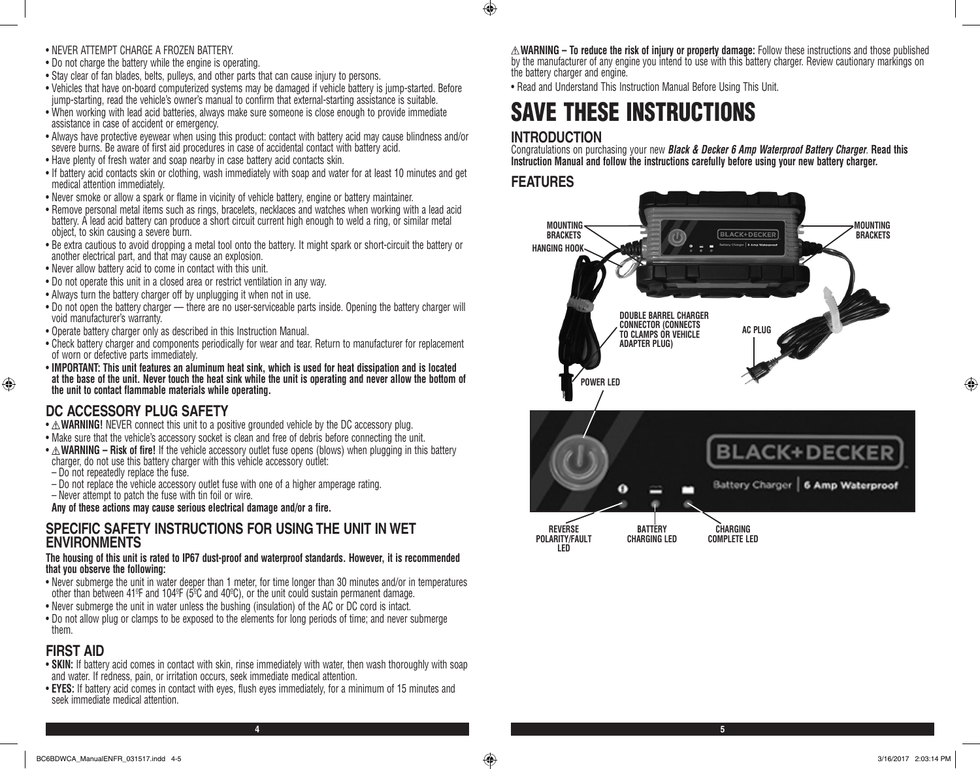- • NEVER ATTEMPT CHARGE A FROZEN BATTERY.
- Do not charge the battery while the engine is operating.
- Stay clear of fan blades, belts, pulleys, and other parts that can cause injury to persons.
- • Vehicles that have on-board computerized systems may be damaged if vehicle battery is jump-started. Before jump-starting, read the vehicle's owner's manual to confirm that external-starting assistance is suitable.
- • When working with lead acid batteries, always make sure someone is close enough to provide immediate assistance in case of accident or emergency.
- • Always have protective eyewear when using this product: contact with battery acid may cause blindness and/or severe burns. Be aware of first aid procedures in case of accidental contact with battery acid.
- Have plenty of fresh water and soap nearby in case battery acid contacts skin.
- If battery acid contacts skin or clothing, wash immediately with soap and water for at least 10 minutes and get medical attention immediately.
- • Never smoke or allow a spark or flame in vicinity of vehicle battery, engine or battery maintainer.
- • Remove personal metal items such as rings, bracelets, necklaces and watches when working with a lead acid battery. A lead acid battery can produce a short circuit current high enough to weld a ring, or similar metal object, to skin causing a severe burn.
- • Be extra cautious to avoid dropping a metal tool onto the battery. It might spark or short-circuit the battery or another electrical part, and that may cause an explosion.
- Never allow battery acid to come in contact with this unit.
- Do not operate this unit in a closed area or restrict ventilation in any way.
- Always turn the battery charger off by unplugging it when not in use.
- Do not open the battery charger there are no user-serviceable parts inside. Opening the battery charger will void manufacturer's warranty.
- Operate battery charger only as described in this Instruction Manual.
- • Check battery charger and components periodically for wear and tear. Return to manufacturer for replacement of worn or defective parts immediately.
- • **IMPORTANT: This unit features an aluminum heat sink, which is used for heat dissipation and is located at the base of the unit. Never touch the heat sink while the unit is operating and never allow the bottom of the unit to contact flammable materials while operating.**

# **DC ACCESSORY PLUG SAFETY**

- $\triangle$  **WARNING!** NEVER connect this unit to a positive grounded vehicle by the DC accessory plug.
- Make sure that the vehicle's accessory socket is clean and free of debris before connecting the unit.
- $\triangle$  **WARNING Risk of fire!** If the vehicle accessory outlet fuse opens (blows) when plugging in this battery charger, do not use this battery charger with this vehicle accessory outlet:
- Do not repeatedly replace the fuse.
- Do not replace the vehicle accessory outlet fuse with one of a higher amperage rating.

– Never attempt to patch the fuse with tin foil or wire. **Any of these actions may cause serious electrical damage and/or a fire.**

#### **SPECIFIC SAFETY INSTRUCTIONS FOR USING THE UNIT IN WET ENVIRONMENTS**

#### **The housing of this unit is rated to IP67 dust-proof and waterproof standards. However, it is recommended that you observe the following:**

- • Never submerge the unit in water deeper than 1 meter, for time longer than 30 minutes and/or in temperatures other than between 41ºF and 104ºF (5ºC and 40ºC), or the unit could sustain permanent damage.
- Never submerge the unit in water unless the bushing (insulation) of the AC or DC cord is intact.
- • Do not allow plug or clamps to be exposed to the elements for long periods of time; and never submerge them.

# **FIRST AID**

⊕

- **SKIN:** If battery acid comes in contact with skin, rinse immediately with water, then wash thoroughly with soap and water. If redness, pain, or irritation occurs, seek immediate medical attention.
- • **EYES:** If battery acid comes in contact with eyes, flush eyes immediately, for a minimum of 15 minutes and seek immediate medical attention.

**WARNING – To reduce the risk of injury or property damage:** Follow these instructions and those published by the manufacturer of any engine you intend to use with this battery charger. Review cautionary markings on the battery charger and engine.

• Read and Understand This Instruction Manual Before Using This Unit.

# SAVE THESE INSTRUCTIONS

# **INTRODUCTION**

Congratulations on purchasing your new *Black & Decker 6 Amp Waterproof Battery Charger*. **Read this Instruction Manual and follow the instructions carefully before using your new battery charger.**

## **FEATURES**

 $\bigoplus$ 

**4 5**

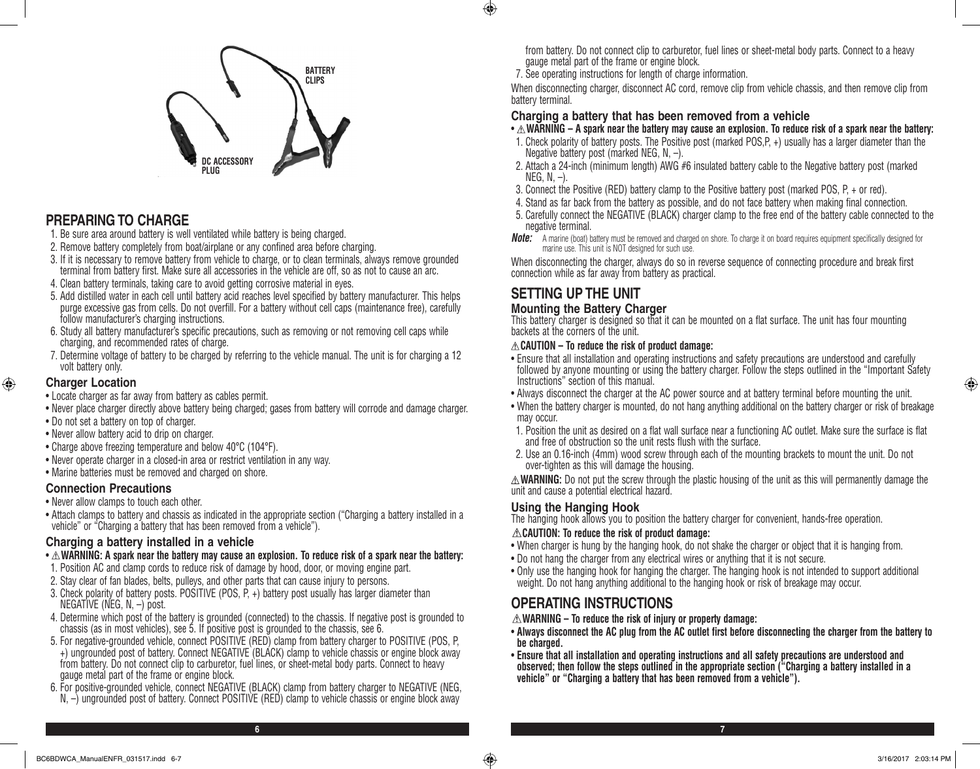

# **PREPARING TO CHARGE**

- 1. Be sure area around battery is well ventilated while battery is being charged.
- 2. Remove battery completely from boat/airplane or any confined area before charging.
- 3. If it is necessary to remove battery from vehicle to charge, or to clean terminals, always remove grounded terminal from battery first. Make sure all accessories in the vehicle are off, so as not to cause an arc.
- 4. Clean battery terminals, taking care to avoid getting corrosive material in eyes.
- 5. Add distilled water in each cell until battery acid reaches level specified by battery manufacturer. This helps purge excessive gas from cells. Do not overfill. For a battery without cell caps (maintenance free), carefully follow manufacturer's charging instructions.
- 6. Study all battery manufacturer's specific precautions, such as removing or not removing cell caps while charging, and recommended rates of charge.
- 7. Determine voltage of battery to be charged by referring to the vehicle manual. The unit is for charging a 12 volt battery only.

#### **Charger Location**

⊕

- Locate charger as far away from battery as cables permit.
- • Never place charger directly above battery being charged; gases from battery will corrode and damage charger.
- Do not set a battery on top of charger.
- Never allow battery acid to drip on charger.
- Charge above freezing temperature and below 40°C (104°F).
- • Never operate charger in a closed-in area or restrict ventilation in any way.
- Marine batteries must be removed and charged on shore.

#### **Connection Precautions**

- Never allow clamps to touch each other.
- Attach clamps to battery and chassis as indicated in the appropriate section ("Charging a battery installed in a vehicle" or "Charging a battery that has been removed from a vehicle").

#### **Charging a battery installed in a vehicle**

- $\triangle$  WARNING: A spark near the battery may cause an explosion. To reduce risk of a spark near the battery:
- 1. Position AC and clamp cords to reduce risk of damage by hood, door, or moving engine part.
- 2. Stay clear of fan blades, belts, pulleys, and other parts that can cause injury to persons.
- 3. Check polarity of battery posts. POSITIVE (POS, P, +) battery post usually has larger diameter than NEGATIVE (NEG,  $N, -$ ) post.
- 4. Determine which post of the battery is grounded (connected) to the chassis. If negative post is grounded to chassis (as in most vehicles), see 5. If positive post is grounded to the chassis, see 6.
- 5. For negative-grounded vehicle, connect POSITIVE (RED) clamp from battery charger to POSITIVE (POS, P, +) ungrounded post of battery. Connect NEGATIVE (BLACK) clamp to vehicle chassis or engine block away from battery. Do not connect clip to carburetor, fuel lines, or sheet-metal body parts. Connect to heavy gauge metal part of the frame or engine block.
- 6. For positive-grounded vehicle, connect NEGATIVE (BLACK) clamp from battery charger to NEGATIVE (NEG, N,  $-$ ) ungrounded post of battery. Connect POSITIVE (RED) clamp to vehicle chassis or engine block away

from battery. Do not connect clip to carburetor, fuel lines or sheet-metal body parts. Connect to a heavy gauge metal part of the frame or engine block.

7. See operating instructions for length of charge information.

When disconnecting charger, disconnect AC cord, remove clip from vehicle chassis, and then remove clip from battery terminal.

#### **Charging a battery that has been removed from a vehicle**

- $\cdot \triangle$ WARNING A spark near the battery may cause an explosion. To reduce risk of a spark near the battery:
- 1. Check polarity of battery posts. The Positive post (marked POS,P, +) usually has a larger diameter than the Negative battery post (marked NEG, N,  $-$ ).
- 2. Attach a 24-inch (minimum length) AWG #6 insulated battery cable to the Negative battery post (marked  $NEG, N, -).$
- 3. Connect the Positive (RED) battery clamp to the Positive battery post (marked POS, P, + or red).
- 4. Stand as far back from the battery as possible, and do not face battery when making final connection.
- 5. Carefully connect the NEGATIVE (BLACK) charger clamp to the free end of the battery cable connected to the negative terminal.
- **Note:** A marine (boat) battery must be removed and charged on shore. To charge it on board requires equipment specifically designed for marine use. This unit is NOT designed for such use.

When disconnecting the charger, always do so in reverse sequence of connecting procedure and break first connection while as far away from battery as practical.

# **SETTING UP THE UNIT**

 $\bigoplus$ 

#### **Mounting the Battery Charger**

This battery charger is designed so that it can be mounted on a flat surface. The unit has four mounting backets at the corners of the unit.

#### **CAUTION – To reduce the risk of product damage:**

- • Ensure that all installation and operating instructions and safety precautions are understood and carefully followed by anyone mounting or using the battery charger. Follow the steps outlined in the "Important Safety Instructions" section of this manual.
- Always disconnect the charger at the AC power source and at battery terminal before mounting the unit.
- When the battery charger is mounted, do not hang anything additional on the battery charger or risk of breakage may occur.
- 1. Position the unit as desired on a flat wall surface near a functioning AC outlet. Make sure the surface is flat and free of obstruction so the unit rests flush with the surface.
- 2. Use an 0.16-inch (4mm) wood screw through each of the mounting brackets to mount the unit. Do not over-tighten as this will damage the housing.

**WARNING:** Do not put the screw through the plastic housing of the unit as this will permanently damage the unit and cause a potential electrical hazard.

#### **Using the Hanging Hook**

The hanging hook allows you to position the battery charger for convenient, hands-free operation.

#### **CAUTION: To reduce the risk of product damage:**

- When charger is hung by the hanging hook, do not shake the charger or object that it is hanging from.
- Do not hang the charger from any electrical wires or anything that it is not secure.
- • Only use the hanging hook for hanging the charger. The hanging hook is not intended to support additional weight. Do not hang anything additional to the hanging hook or risk of breakage may occur.

# **OPERATING INSTRUCTIONS**

- **WARNING To reduce the risk of injury or property damage:**
- • **Always disconnect the AC plug from the AC outlet first before disconnecting the charger from the battery to be charged.**
- • **Ensure that all installation and operating instructions and all safety precautions are understood and observed; then follow the steps outlined in the appropriate section ("Charging a battery installed in a vehicle" or "Charging a battery that has been removed from a vehicle").**

**6 7**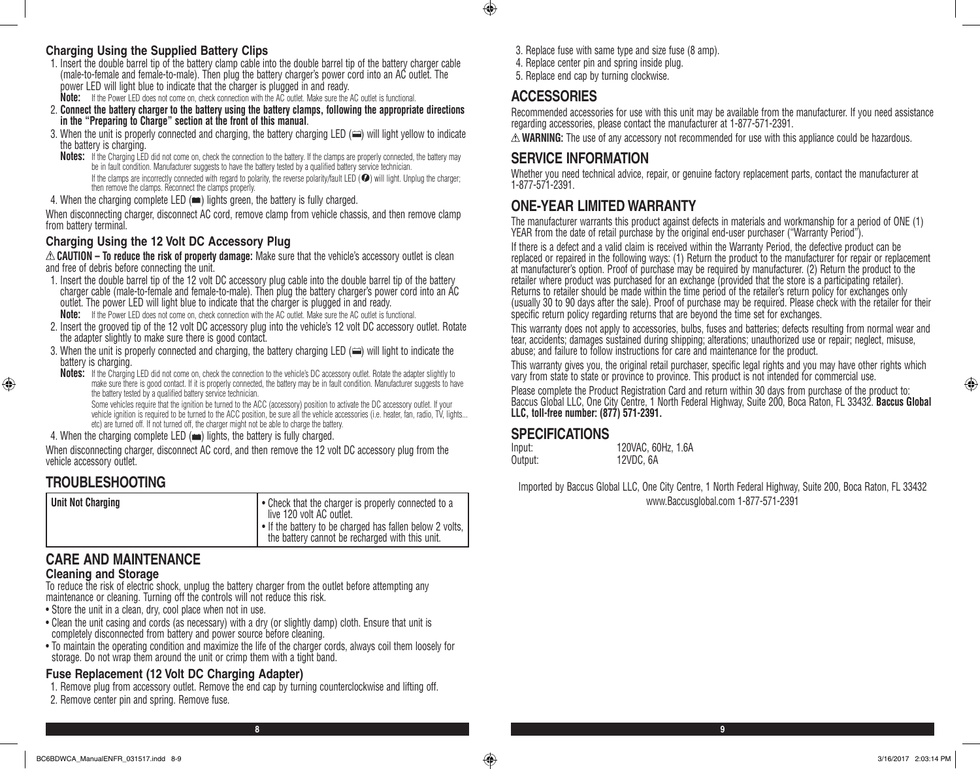#### **Charging Using the Supplied Battery Clips**

- 1. Insert the double barrel tip of the battery clamp cable into the double barrel tip of the battery charger cable (male-to-female and female-to-male). Then plug the battery charger's power cord into an AC outlet. The power LED will light blue to indicate that the charger is plugged in and ready. **Note:** If the Power LED does not come on, check connection with the AC outlet. Make sure the AC outlet is functional.
- 2. **Connect the battery charger to the battery using the battery clamps, following the appropriate directions**
- **in the "Preparing to Charge" section at the front of this manual**.
- 3. When the unit is properly connected and charging, the battery charging LED  $(\equiv)$  will light yellow to indicate the battery is charging.
- **Notes:** If the Charging LED did not come on, check the connection to the battery. If the clamps are properly connected, the battery may be in fault condition. Manufacturer suggests to have the battery tested by a qualified battery service technician. If the clamps are incorrectly connected with regard to polarity, the reverse polarity/fault LED ( $\bullet$ ) will light. Unplug the charger; then remove the clamps. Reconnect the clamps properly.
- 4. When the charging complete LED  $(\equiv)$  lights green, the battery is fully charged.

When disconnecting charger, disconnect AC cord, remove clamp from vehicle chassis, and then remove clamp from battery terminal.

#### **Charging Using the 12 Volt DC Accessory Plug**

**CAUTION – To reduce the risk of property damage:** Make sure that the vehicle's accessory outlet is clean and free of debris before connecting the unit.

- 1. Insert the double barrel tip of the 12 volt DC accessory plug cable into the double barrel tip of the battery charger cable (male-to-female and female-to-male). Then plug the battery charger's power cord into an AC outlet. The power LED will light blue to indicate that the charger is plugged in and ready.
	- **Note:** If the Power LED does not come on, check connection with the AC outlet. Make sure the AC outlet is functional.
- 2. Insert the grooved tip of the 12 volt DC accessory plug into the vehicle's 12 volt DC accessory outlet. Rotate the adapter slightly to make sure there is good contact.
- 3. When the unit is properly connected and charging, the battery charging LED ( $\approx$ ) will light to indicate the battery is charging.
- **Notes:** If the Charging LED did not come on, check the connection to the vehicle's DC accessory outlet. Rotate the adapter slightly to make sure there is good contact. If it is properly connected, the battery may be in fault condition. Manufacturer suggests to have the battery tested by a qualified battery service technician.

Some vehicles require that the ignition be turned to the ACC (accessory) position to activate the DC accessory outlet. If your vehicle ignition is required to be turned to the ACC position, be sure all the vehicle accessories (i.e. heater, fan, radio, TV, lights... etc) are turned off. If not turned off, the charger might not be able to charge the battery.

4. When the charging complete LED  $(\bullet\bullet)$  lights, the battery is fully charged.

When disconnecting charger, disconnect AC cord, and then remove the 12 volt DC accessory plug from the vehicle accessory outlet.

## **TROUBLESHOOTING**

⊕

# **CARE AND MAINTENANCE**

#### **Cleaning and Storage**

To reduce the risk of electric shock, unplug the battery charger from the outlet before attempting any maintenance or cleaning. Turning off the controls will not reduce this risk.

- Store the unit in a clean, dry, cool place when not in use.
- Clean the unit casing and cords (as necessary) with a dry (or slightly damp) cloth. Ensure that unit is completely disconnected from battery and power source before cleaning.
- • To maintain the operating condition and maximize the life of the charger cords, always coil them loosely for storage. Do not wrap them around the unit or crimp them with a tight band.

# **Fuse Replacement (12 Volt DC Charging Adapter)**

- 1. Remove plug from accessory outlet. Remove the end cap by turning counterclockwise and lifting off.
- 2. Remove center pin and spring. Remove fuse.
- 3. Replace fuse with same type and size fuse (8 amp).
- 4. Replace center pin and spring inside plug.
- 5. Replace end cap by turning clockwise.

# **ACCESSORIES**

 $\bigoplus$ 

Recommended accessories for use with this unit may be available from the manufacturer. If you need assistance regarding accessories, please contact the manufacturer at 1-877-571-2391.

 $\triangle$  **WARNING:** The use of any accessory not recommended for use with this appliance could be hazardous.

# **SERVICE INFORMATION**

Whether you need technical advice, repair, or genuine factory replacement parts, contact the manufacturer at 1-877-571-2391.

# **ONE-YEAR LIMITED WARRANTY**

The manufacturer warrants this product against defects in materials and workmanship for a period of ONE (1) YEAR from the date of retail purchase by the original end-user purchaser ("Warranty Period").

If there is a defect and a valid claim is received within the Warranty Period, the defective product can be replaced or repaired in the following ways: (1) Return the product to the manufacturer for repair or replacement at manufacturer's option. Proof of purchase may be required by manufacturer. (2) Return the product to the retailer where product was purchased for an exchange (provided that the store is a participating retailer). Returns to retailer should be made within the time period of the retailer's return policy for exchanges only (usually 30 to 90 days after the sale). Proof of purchase may be required. Please check with the retailer for their specific return policy regarding returns that are beyond the time set for exchanges.

This warranty does not apply to accessories, bulbs, fuses and batteries; defects resulting from normal wear and tear, accidents; damages sustained during shipping; alterations; unauthorized use or repair; neglect, misuse, abuse; and failure to follow instructions for care and maintenance for the product.

This warranty gives you, the original retail purchaser, specific legal rights and you may have other rights which vary from state to state or province to province. This product is not intended for commercial use.

Please complete the Product Registration Card and return within 30 days from purchase of the product to: Baccus Global LLC, One City Centre, 1 North Federal Highway, Suite 200, Boca Raton, FL 33432. **Baccus Global LLC, toll-free number: (877) 571-2391.** 

#### **SPECIFICATIONS**

Input: 120VAC, 60Hz, 1.6A Output: 12VDC, 6A

Imported by Baccus Global LLC, One City Centre, 1 North Federal Highway, Suite 200, Boca Raton, FL 33432 www.Baccusglobal.com 1-877-571-2391

⊕

**8 9**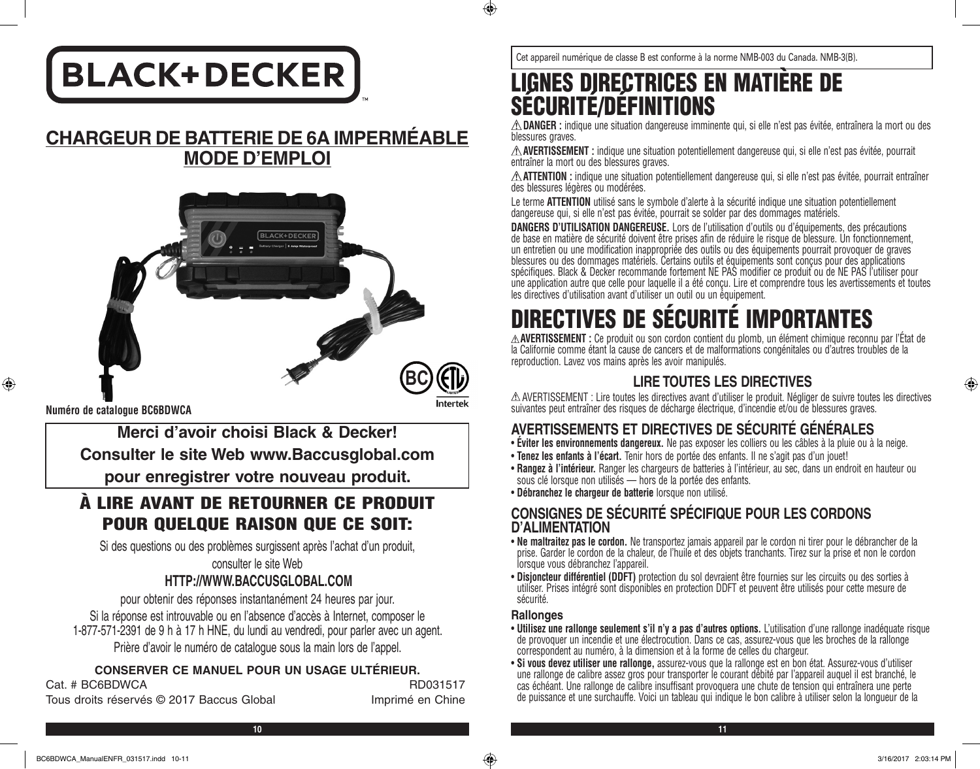# **BLACK+DECKER**

# **CHARGEUR DE BATTERIE DE 6A IMPERMÉABLE MODE D'EMPLOI**



**Numéro de catalogue BC6BDWCA**

⊕

**Merci d'avoir choisi Black & Decker! Consulter le site Web www.Baccusglobal.com**

**pour enregistrer votre nouveau produit.**

# À LIRE AVANT DE RETOURNER CE PRODUIT POUR QUELQUE RAISON QUE CE SOIT:

Si des questions ou des problèmes surgissent après l'achat d'un produit,

consulter le site Web

# **HTTP://WWW.BACCUSGLOBAL.COM**

pour obtenir des réponses instantanément 24 heures par jour. Si la réponse est introuvable ou en l'absence d'accès à Internet, composer le 1-877-571-2391 de 9 h à 17 h HNE, du lundi au vendredi, pour parler avec un agent. Prière d'avoir le numéro de catalogue sous la main lors de l'appel.

## **CONSERVER CE MANUEL POUR UN USAGE ULTÉRIEUR.**

Cat. # BC6BDWCA RD031517 Tous droits réservés © 2017 Baccus Global imprimé en Chine

Cet appareil numérique de classe B est conforme à la norme NMB-003 du Canada. NMB-3(B).

# LIGNES DIRECTRICES EN MATIÈRE DE SÉCURITÉ/DÉFINITIONS

**DANGER :** indique une situation dangereuse imminente qui, si elle n'est pas évitée, entraînera la mort ou des blessures graves.

**AVERTISSEMENT :** indique une situation potentiellement dangereuse qui, si elle n'est pas évitée, pourrait entraîner la mort ou des blessures graves.

**ATTENTION :** indique une situation potentiellement dangereuse qui, si elle n'est pas évitée, pourrait entraîner des blessures légères ou modérées.

Le terme **ATTENTION** utilisé sans le symbole d'alerte à la sécurité indique une situation potentiellement dangereuse qui, si elle n'est pas évitée, pourrait se solder par des dommages matériels.

**DANGERS D'UTILISATION DANGEREUSE.** Lors de l'utilisation d'outils ou d'équipements, des précautions de base en matière de sécurité doivent être prises afin de réduire le risque de blessure. Un fonctionnement, un entretien ou une modification inappropriée des outils ou des équipements pourrait provoquer de graves blessures ou des dommages matériels. Certains outils et équipements sont conçus pour des applications spécifiques. Black & Decker recommande fortement NE PAS modifier ce produit ou de NE PAS l'utiliser pour une application autre que celle pour laquelle il a été conçu. Lire et comprendre tous les avertissements et toutes les directives d'utilisation avant d'utiliser un outil ou un équipement.

# **TIVES DE SECURITE IMPORTANTES**

**AVERTISSEMENT :** Ce produit ou son cordon contient du plomb, un élément chimique reconnu par l'État de la Californie comme étant la cause de cancers et de malformations congénitales ou d'autres troubles de la reproduction. Lavez vos mains après les avoir manipulés.

# **LIRE TOUTES LES DIRECTIVES**

AVERTISSEMENT : Lire toutes les directives avant d'utiliser le produit. Négliger de suivre toutes les directives suivantes peut entraîner des risques de décharge électrique, d'incendie et/ou de blessures graves.

# **AVERTISSEMENTS ET DIRECTIVES DE SÉCURITÉ GÉNÉRALES**

- • **Éviter les environnements dangereux.** Ne pas exposer les colliers ou les câbles à la pluie ou à la neige.
- • **Tenez les enfants à l'écart.** Tenir hors de portée des enfants. Il ne s'agit pas d'un jouet!
- • **Rangez à l'intérieur.** Ranger les chargeurs de batteries à l'intérieur, au sec, dans un endroit en hauteur ou sous clé lorsque non utilisés — hors de la portée des enfants.
- • **Débranchez le chargeur de batterie** lorsque non utilisé.

# **CONSIGNES DE SÉCURITÉ SPÉCIFIQUE POUR LES CORDONS D'ALIMENTATION**

- • **Ne maltraitez pas le cordon.** Ne transportez jamais appareil par le cordon ni tirer pour le débrancher de la prise. Garder le cordon de la chaleur, de l'huile et des objets tranchants. Tirez sur la prise et non le cordon lorsque vous débranchez l'appareil.
- • **Disjoncteur différentiel (DDFT)** protection du sol devraient être fournies sur les circuits ou des sorties à utiliser. Prises intégré sont disponibles en protection DDFT et peuvent être utilisés pour cette mesure de sécurité.

#### **Rallonges**

- • **Utilisez une rallonge seulement s'il n'y a pas d'autres options.** L'utilisation d'une rallonge inadéquate risque de provoquer un incendie et une électrocution. Dans ce cas, assurez-vous que les broches de la rallonge correspondent au numéro, à la dimension et à la forme de celles du chargeur.
- • **Si vous devez utiliser une rallonge,** assurez-vous que la rallonge est en bon état. Assurez-vous d'utiliser une rallonge de calibre assez gros pour transporter le courant débité par l'appareil auquel il est branché, le cas échéant. Une rallonge de calibre insuffisant provoquera une chute de tension qui entraînera une perte de puissance et une surchauffe. Voici un tableau qui indique le bon calibre à utiliser selon la longueur de la

⊕

**10 11**

 $\bigcirc$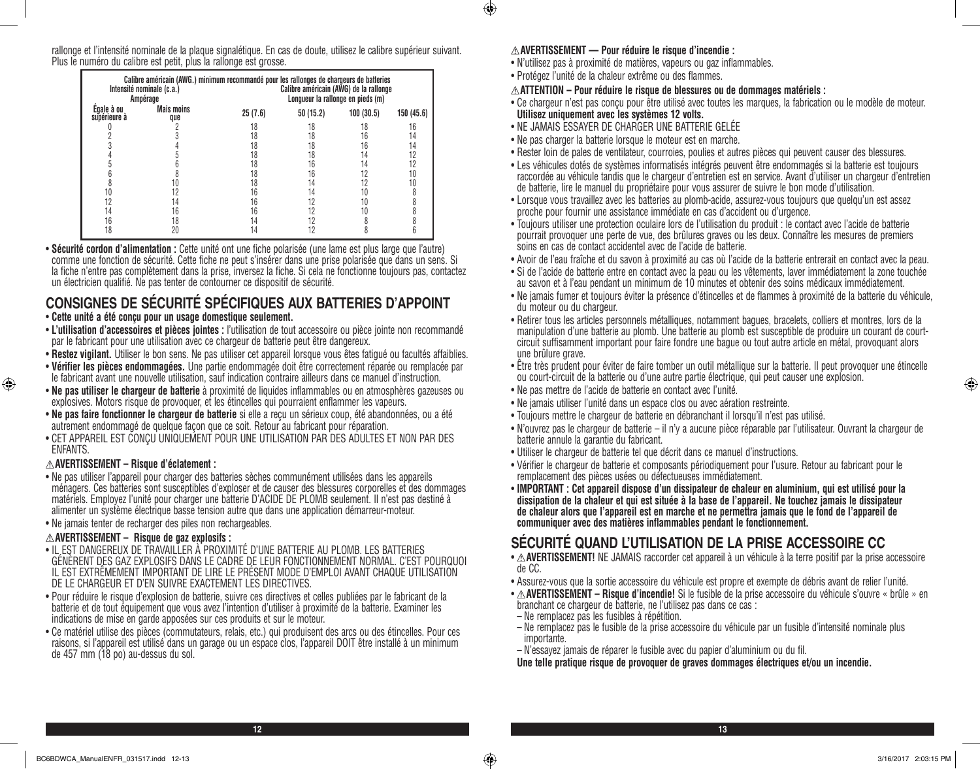rallonge et l'intensité nominale de la plaque signalétique. En cas de doute, utilisez le calibre supérieur suivant. Plus le numéro du calibre est petit, plus la rallonge est grosse.

| Intensité nominale (c.a.)<br>Ampérage |                          | Calibre américain (AWG.) minimum recommandé pour les rallonges de chargeurs de batteries<br>Calibre américain (AWG) de la rallonge<br>Longueur la rallonge en pieds (m) |          |           |            |  |
|---------------------------------------|--------------------------|-------------------------------------------------------------------------------------------------------------------------------------------------------------------------|----------|-----------|------------|--|
| Egale à ou<br>supérieure à            | <b>Mais moins</b><br>que | 25(7.6)                                                                                                                                                                 | 50(15.2) | 100(30.5) | 150 (45.6) |  |
|                                       |                          |                                                                                                                                                                         | 8        | 8         | 16         |  |
|                                       |                          | 8                                                                                                                                                                       | 18       | 6         | 14         |  |
|                                       |                          | 8                                                                                                                                                                       | 18       | 6         | 14         |  |
|                                       |                          | 8                                                                                                                                                                       | 18       | 4         | 12         |  |
|                                       |                          | 8                                                                                                                                                                       | 16       |           | 12         |  |
|                                       |                          | 8                                                                                                                                                                       | 16       |           | 10         |  |
|                                       |                          | 18                                                                                                                                                                      | ,4       |           | 10         |  |
|                                       |                          | 16                                                                                                                                                                      | 14       |           |            |  |
|                                       | 14                       | 16                                                                                                                                                                      |          |           |            |  |
| 14                                    | 16                       | 16                                                                                                                                                                      |          |           |            |  |
| 16                                    | 18                       | 14                                                                                                                                                                      |          |           |            |  |
| 8                                     | 20                       | .4                                                                                                                                                                      |          |           |            |  |

• **Sécurité cordon d'alimentation :** Cette unité ont une fiche polarisée (une lame est plus large que l'autre) comme une fonction de sécurité. Cette fiche ne peut s'insérer dans une prise polarisée que dans un sens. Si la fiche n'entre pas complètement dans la prise, inversez la fiche. Si cela ne fonctionne toujours pas, contactez un électricien qualifié. Ne pas tenter de contourner ce dispositif de sécurité.

# **CONSIGNES DE SÉCURITÉ SPÉCIFIQUES AUX BATTERIES D'APPOINT**

#### • **Cette unité a été conçu pour un usage domestique seulement.**

- • **L'utilisation d'accessoires et pièces jointes :** l'utilisation de tout accessoire ou pièce jointe non recommandé par le fabricant pour une utilisation avec ce chargeur de batterie peut être dangereux.
- • **Restez vigilant.** Utiliser le bon sens. Ne pas utiliser cet appareil lorsque vous êtes fatigué ou facultés affaiblies.
- • **Vérifier les pièces endommagées.** Une partie endommagée doit être correctement réparée ou remplacée par le fabricant avant une nouvelle utilisation, sauf indication contraire ailleurs dans ce manuel d'instruction.
- • **Ne pas utiliser le chargeur de batterie** à proximité de liquides inflammables ou en atmosphères gazeuses ou explosives. Motors risque de provoquer, et les étincelles qui pourraient enflammer les vapeurs.
- **Ne pas faire fonctionner le chargeur de batterie** si elle a reçu un sérieux coup, été abandonnées, ou a été autrement endommagé de quelque façon que ce soit. Retour au fabricant pour réparation.
- • CET APPAREIL EST CONÇU UNIQUEMENT POUR UNE UTILISATION PAR DES ADULTES ET NON PAR DES ENFANTS.

#### **AVERTISSEMENT – Risque d'éclatement :**

⊕

- • Ne pas utiliser l'appareil pour charger des batteries sèches communément utilisées dans les appareils ménagers. Ces batteries sont susceptibles d'exploser et de causer des blessures corporelles et des dommages matériels. Employez l'unité pour charger une batterie D'ACIDE DE PLOMB seulement. Il n'est pas destiné à alimenter un système électrique basse tension autre que dans une application démarreur-moteur.
- Ne jamais tenter de recharger des piles non rechargeables.

#### **AVERTISSEMENT – Risque de gaz explosifs :**

- • IL EST DANGEREUX DE TRAVAILLER À PROXIMITÉ D'UNE BATTERIE AU PLOMB. LES BATTERIES GÉNÈRENT DES GAZ EXPLOSIFS DANS LE CADRE DE LEUR FONCTIONNEMENT NORMAL. C'EST POURQUOI IL EST EXTRÊMEMENT IMPORTANT DE LIRE LE PRÉSENT MODE D'EMPLOI AVANT CHAQUE UTILISATION DE LE CHARGEUR ET D'EN SUIVRE EXACTEMENT LES DIRECTIVES.
- • Pour réduire le risque d'explosion de batterie, suivre ces directives et celles publiées par le fabricant de la batterie et de tout équipement que vous avez l'intention d'utiliser à proximité de la batterie. Examiner les indications de mise en garde apposées sur ces produits et sur le moteur.
- • Ce matériel utilise des pièces (commutateurs, relais, etc.) qui produisent des arcs ou des étincelles. Pour ces raisons, si l'appareil est utilisé dans un garage ou un espace clos, l'appareil DOIT être installé à un minimum de 457 mm (18 po) au-dessus du sol.

#### **AVERTISSEMENT — Pour réduire le risque d'incendie :**

- • N'utilisez pas à proximité de matières, vapeurs ou gaz inflammables.
- • Protégez l'unité de la chaleur extrême ou des flammes.
- **ATTENTION Pour réduire le risque de blessures ou de dommages matériels :**
- • Ce chargeur n'est pas conçu pour être utilisé avec toutes les marques, la fabrication ou le modèle de moteur. **Utilisez uniquement avec les systèmes 12 volts.**
- NE JAMAIS ESSAYER DE CHARGER UNE BATTERIE GELÉE
- Ne pas charger la batterie lorsque le moteur est en marche.
- • Rester loin de pales de ventilateur, courroies, poulies et autres pièces qui peuvent causer des blessures.
- • Les véhicules dotés de systèmes informatisés intégrés peuvent être endommagés si la batterie est toujours raccordée au véhicule tandis que le chargeur d'entretien est en service. Avant d'utiliser un chargeur d'entretien de batterie, lire le manuel du propriétaire pour vous assurer de suivre le bon mode d'utilisation.
- • Lorsque vous travaillez avec les batteries au plomb-acide, assurez-vous toujours que quelqu'un est assez proche pour fournir une assistance immédiate en cas d'accident ou d'urgence.
- • Toujours utiliser une protection oculaire lors de l'utilisation du produit : le contact avec l'acide de batterie pourrait provoquer une perte de vue, des brûlures graves ou les deux. Connaître les mesures de premiers soins en cas de contact accidentel avec de l'acide de batterie.
- • Avoir de l'eau fraîche et du savon à proximité au cas où l'acide de la batterie entrerait en contact avec la peau.
- • Si de l'acide de batterie entre en contact avec la peau ou les vêtements, laver immédiatement la zone touchée au savon et à l'eau pendant un minimum de 10 minutes et obtenir des soins médicaux immédiatement.
- • Ne jamais fumer et toujours éviter la présence d'étincelles et de flammes à proximité de la batterie du véhicule, du moteur ou du chargeur.
- • Retirer tous les articles personnels métalliques, notamment bagues, bracelets, colliers et montres, lors de la manipulation d'une batterie au plomb. Une batterie au plomb est susceptible de produire un courant de courtcircuit suffisamment important pour faire fondre une bague ou tout autre article en métal, provoquant alors une brûlure grave.
- • Être très prudent pour éviter de faire tomber un outil métallique sur la batterie. Il peut provoquer une étincelle ou court-circuit de la batterie ou d'une autre partie électrique, qui peut causer une explosion.
- • Ne pas mettre de l'acide de batterie en contact avec l'unité.
- • Ne jamais utiliser l'unité dans un espace clos ou avec aération restreinte.
- Toujours mettre le chargeur de batterie en débranchant il lorsqu'il n'est pas utilisé.
- • N'ouvrez pas le chargeur de batterie il n'y a aucune pièce réparable par l'utilisateur. Ouvrant la chargeur de batterie annule la garantie du fabricant.
- Utiliser le chargeur de batterie tel que décrit dans ce manuel d'instructions.
- • Vérifier le chargeur de batterie et composants périodiquement pour l'usure. Retour au fabricant pour le remplacement des pièces usées ou défectueuses immédiatement.
- • **IMPORTANT : Cet appareil dispose d'un dissipateur de chaleur en aluminium, qui est utilisé pour la dissipation de la chaleur et qui est située à la base de l'appareil. Ne touchez jamais le dissipateur de chaleur alors que l'appareil est en marche et ne permettra jamais que le fond de l'appareil de communiquer avec des matières inflammables pendant le fonctionnement.**

# **SÉCURITÉ QUAND L'UTILISATION DE LA PRISE ACCESSOIRE CC**

- $\triangle$  **AVERTISSEMENT!** NE JAMAIS raccorder cet appareil à un véhicule à la terre positif par la prise accessoire de CC.
- • Assurez-vous que la sortie accessoire du véhicule est propre et exempte de débris avant de relier l'unité.
- • **AVERTISSEMENT Risque d'incendie!** Si le fusible de la prise accessoire du véhicule s'ouvre « brûle » en branchant ce chargeur de batterie, ne l'utilisez pas dans ce cas :
- Ne remplacez pas les fusibles à répétition.
- Ne remplacez pas le fusible de la prise accessoire du véhicule par un fusible d'intensité nominale plus importante.
- N'essayez jamais de réparer le fusible avec du papier d'aluminium ou du fil.

**Une telle pratique risque de provoquer de graves dommages électriques et/ou un incendie.**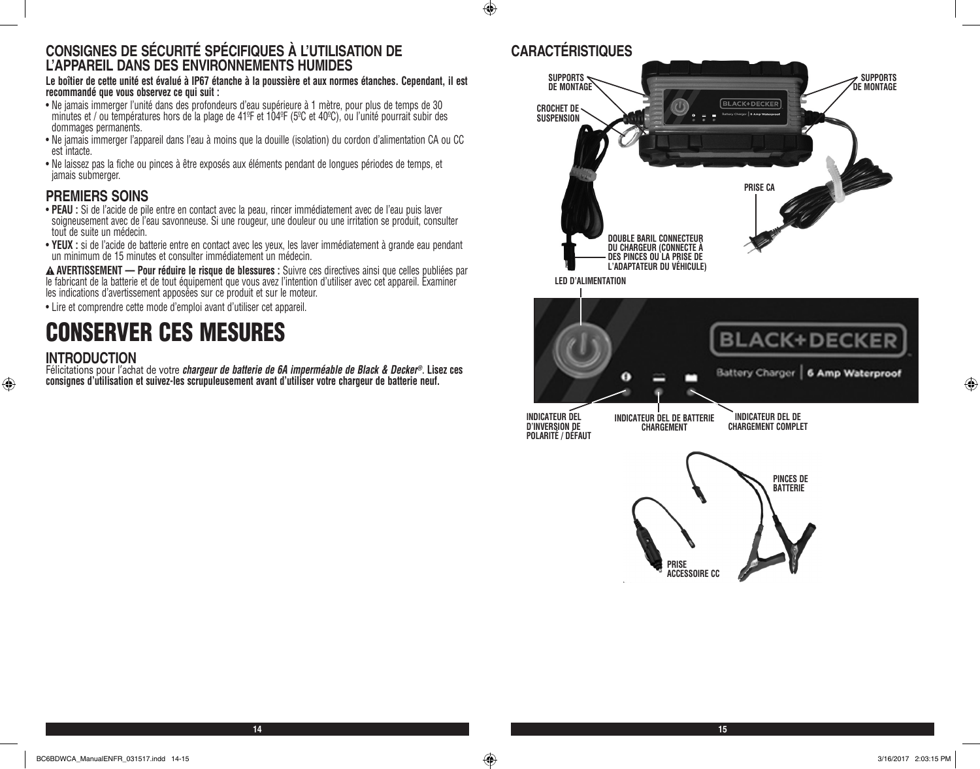### **CONSIGNES DE SÉCURITÉ SPÉCIFIQUES À L'UTILISATION DE L'APPAREIL DANS DES ENVIRONNEMENTS HUMIDES**

**Le boîtier de cette unité est évalué à IP67 étanche à la poussière et aux normes étanches. Cependant, il est recommandé que vous observez ce qui suit :**

- • Ne jamais immerger l'unité dans des profondeurs d'eau supérieure à 1 mètre, pour plus de temps de 30 minutes et / ou températures hors de la plage de 41ºF et 104ºF (5ºC et 40ºC), ou l'unité pourrait subir des dommages permanents.
- • Ne jamais immerger l'appareil dans l'eau à moins que la douille (isolation) du cordon d'alimentation CA ou CC est intacte.
- • Ne laissez pas la fiche ou pinces à être exposés aux éléments pendant de longues périodes de temps, et jamais submerger.

# **PREMIERS SOINS**

- • **PEAU :** Si de l'acide de pile entre en contact avec la peau, rincer immédiatement avec de l'eau puis laver soigneusement avec de l'eau savonneuse. Si une rougeur, une douleur ou une irritation se produit, consulter tout de suite un médecin.
- • **YEUX :** si de l'acide de batterie entre en contact avec les yeux, les laver immédiatement à grande eau pendant un minimum de 15 minutes et consulter immédiatement un médecin.

**AVERTISSEMENT — Pour réduire le risque de blessures :** Suivre ces directives ainsi que celles publiées par le fabricant de la batterie et de tout équipement que vous avez l'intention d'utiliser avec cet appareil. Examiner les indications d'avertissement apposées sur ce produit et sur le moteur.

• Lire et comprendre cette mode d'emploi avant d'utiliser cet appareil.

# CONSERVER CES MESURES

#### **INTRODUCTION**

Félicitations pour l'achat de votre *chargeur de batterie de 6A imperméable de Black & Decker®*. **Lisez ces consignes d'utilisation et suivez-les scrupuleusement avant d'utiliser votre chargeur de batterie neuf.**

# **CARACTÉRISTIQUES**

 $\bigoplus$ 



⊕

 $\bigoplus$ 

**14 15**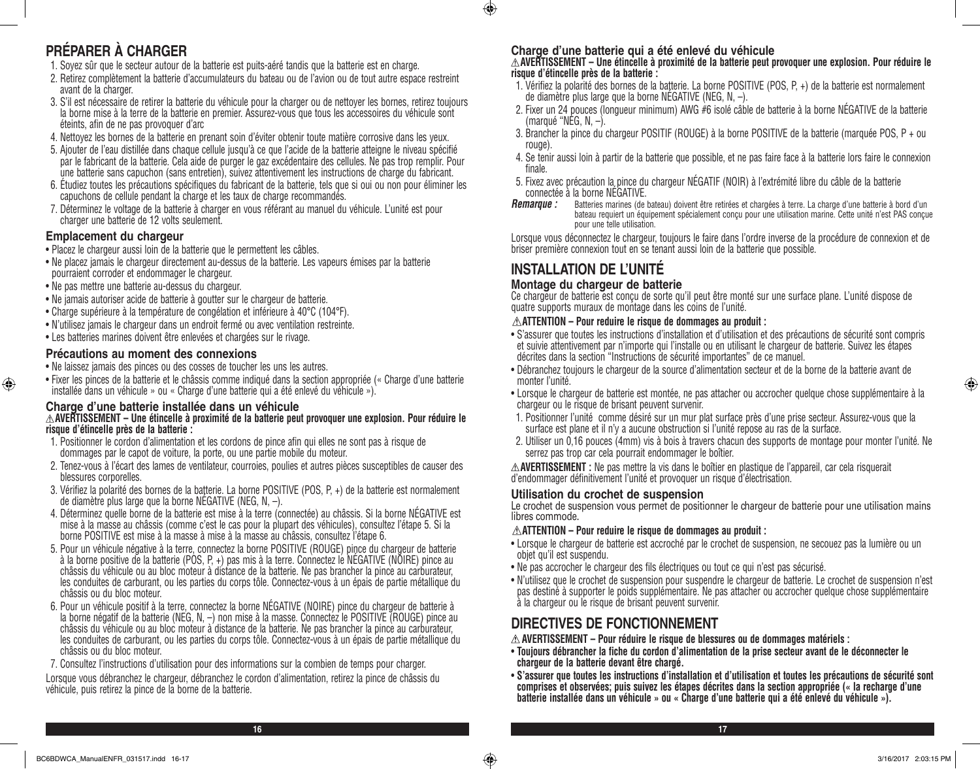# **PRÉPARER À CHARGER**

- 1. Soyez sûr que le secteur autour de la batterie est puits-aéré tandis que la batterie est en charge.
- 2. Retirez complètement la batterie d'accumulateurs du bateau ou de l'avion ou de tout autre espace restreint avant de la charger.
- 3. S'il est nécessaire de retirer la batterie du véhicule pour la charger ou de nettoyer les bornes, retirez toujours la borne mise à la terre de la batterie en premier. Assurez-vous que tous les accessoires du véhicule sont éteints, afin de ne pas provoquer d'arc
- 4. Nettoyez les bornes de la batterie en prenant soin d'éviter obtenir toute matière corrosive dans les yeux.
- 5. Ajouter de l'eau distillée dans chaque cellule jusqu'à ce que l'acide de la batterie atteigne le niveau spécifié par le fabricant de la batterie. Cela aide de purger le gaz excédentaire des cellules. Ne pas trop remplir. Pour une batterie sans capuchon (sans entretien), suivez attentivement les instructions de charge du fabricant.
- 6. Étudiez toutes les précautions spécifiques du fabricant de la batterie, tels que si oui ou non pour éliminer les capuchons de cellule pendant la charge et les taux de charge recommandés.
- 7. Déterminez le voltage de la batterie à charger en vous référant au manuel du véhicule. L'unité est pour charger une batterie de 12 volts seulement.

#### **Emplacement du chargeur**

⊕

- Placez le chargeur aussi loin de la batterie que le permettent les câbles.
- • Ne placez jamais le chargeur directement au-dessus de la batterie. Les vapeurs émises par la batterie pourraient corroder et endommager le chargeur.
- Ne pas mettre une batterie au-dessus du chargeur.
- Ne jamais autoriser acide de batterie à goutter sur le chargeur de batterie.
- Charge supérieure à la température de congélation et inférieure à 40°C (104°F).
- • N'utilisez jamais le chargeur dans un endroit fermé ou avec ventilation restreinte.
- Les batteries marines doivent être enlevées et chargées sur le rivage.

#### **Précautions au moment des connexions**

- Ne laissez jamais des pinces ou des cosses de toucher les uns les autres.
- • Fixer les pinces de la batterie et le châssis comme indiqué dans la section appropriée (« Charge d'une batterie installée dans un véhicule » ou « Charge d'une batterie qui a été enlevé du véhicule »).

# **Charge d'une batterie installée dans un véhicule AVERTISSEMENT – Une étincelle à proximité de la batterie peut provoquer une explosion. Pour réduire le risque d'étincelle près de la batterie :**

- 1. Positionner le cordon d'alimentation et les cordons de pince afin qui elles ne sont pas à risque de dommages par le capot de voiture, la porte, ou une partie mobile du moteur.
- 2. Tenez-vous à l'écart des lames de ventilateur, courroies, poulies et autres pièces susceptibles de causer des blessures corporelles.
- 3. Vérifiez la polarité des bornes de la batterie. La borne POSITIVE (POS, P, +) de la batterie est normalement de diamètre plus large que la borne NÉGATIVE (NEG, N, –).
- 4. Déterminez quelle borne de la batterie est mise à la terre (connectée) au châssis. Si la borne NÉGATIVE est mise à la masse au châssis (comme c'est le cas pour la plupart des véhicules), consultez l'étape 5. Si la borne POSITIVE est mise à la masse à mise à la masse au châssis, consultez l'étape 6.
- 5. Pour un véhicule négative à la terre, connectez la borne POSITIVE (ROUGE) pince du chargeur de batterie à la borne positive de la batterie (PÓS, P, +) pas mis à la terre. Connectez le NÉGATIVE (NOIRE) pince au châssis du véhicule ou au bloc moteur à distance de la batterie. Ne pas brancher la pince au carburateur, les conduites de carburant, ou les parties du corps tôle. Connectez-vous à un épais de partie métallique du châssis ou du bloc moteur.
- 6. Pour un véhicule positif à la terre, connectez la borne NÉGATIVE (NOIRE) pince du chargeur de batterie à la borne négatif de la batterie (NEG, N, –) non mise à la masse. Connectez le POSITIVE (ROUGE) pince au châssis du véhicule ou au bloc moteur à distance de la batterie. Ne pas brancher la pince au carburateur, les conduites de carburant, ou les parties du corps tôle. Connectez-vous à un épais de partie métallique du châssis ou du bloc moteur.
- 7. Consultez l'instructions d'utilisation pour des informations sur la combien de temps pour charger.

Lorsque vous débranchez le chargeur, débranchez le cordon d'alimentation, retirez la pince de châssis du véhicule, puis retirez la pince de la borne de la batterie.

#### **Charge d'une batterie qui a été enlevé du véhicule**

# **AVERTISSEMENT – Une étincelle à proximité de la batterie peut provoquer une explosion. Pour réduire le risque d'étincelle près de la batterie :**

- 1. Vérifiez la polarité des bornes de la batterie. La borne POSITIVE (POS, P, +) de la batterie est normalement de diamètre plus large que la borne NÉGATIVE (NEG, N, –).
- 2. Fixer un 24 pouces (longueur minimum) AWG #6 isolé câble de batterie à la borne NÉGATIVE de la batterie (marqué "NEG,  $N, -$ ).
- 3. Brancher la pince du chargeur POSITIF (ROUGE) à la borne POSITIVE de la batterie (marquée POS, P + ou rouge).
- 4. Se tenir aussi loin à partir de la batterie que possible, et ne pas faire face à la batterie lors faire le connexion finale.
- 5. Fixez avec précaution la pince du chargeur NÉGATIF (NOIR) à l'extrémité libre du câble de la batterie connectée à la borne NÉGATIVE.
- *Remarque :* Batteries marines (de bateau) doivent être retirées et chargées à terre. La charge d'une batterie à bord d'un bateau requiert un équipement spécialement conçu pour une utilisation marine. Cette unité n'est PAS conçue pour une telle utilisation.

Lorsque vous déconnectez le chargeur, toujours le faire dans l'ordre inverse de la procédure de connexion et de briser première connexion tout en se tenant aussi loin de la batterie que possible.

# **INSTALLATION DE L'UNITÉ**

#### **Montage du chargeur de batterie**

Ce chargeur de batterie est conçu de sorte qu'il peut être monté sur une surface plane. L'unité dispose de quatre supports muraux de montage dans les coins de l'unité.

#### **ATTENTION – Pour reduire le risque de dommages au produit :**

- • S'assurer que toutes les instructions d'installation et d'utilisation et des précautions de sécurité sont compris et suivie attentivement par n'importe qui l'installe ou en utilisant le chargeur de batterie. Suivez les étapes décrites dans la section "Instructions de sécurité importantes" de ce manuel.
- • Débranchez toujours le chargeur de la source d'alimentation secteur et de la borne de la batterie avant de monter l'unité.
- • Lorsque le chargeur de batterie est montée, ne pas attacher ou accrocher quelque chose supplémentaire à la chargeur ou le risque de brisant peuvent survenir.
- 1. Positionner l'unité comme désiré sur un mur plat surface près d'une prise secteur. Assurez-vous que la surface est plane et il n'y a aucune obstruction si l'unité repose au ras de la surface.
- 2. Utiliser un 0,16 pouces (4mm) vis à bois à travers chacun des supports de montage pour monter l'unité. Ne serrez pas trop car cela pourrait endommager le boîtier.

**AVERTISSEMENT :** Ne pas mettre la vis dans le boîtier en plastique de l'appareil, car cela risquerait d'endommager définitivement l'unité et provoquer un risque d'électrisation.

#### **Utilisation du crochet de suspension**

Le crochet de suspension vous permet de positionner le chargeur de batterie pour une utilisation mains libres commode.

#### **ATTENTION – Pour reduire le risque de dommages au produit :**

- • Lorsque le chargeur de batterie est accroché par le crochet de suspension, ne secouez pas la lumière ou un objet qu'il est suspendu.
- Ne pas accrocher le chargeur des fils électriques ou tout ce qui n'est pas sécurisé.
- • N'utilisez que le crochet de suspension pour suspendre le chargeur de batterie. Le crochet de suspension n'est pas destiné à supporter le poids supplémentaire. Ne pas attacher ou accrocher quelque chose supplémentaire à la chargeur ou le risque de brisant peuvent survenir.

## **DIRECTIVES DE FONCTIONNEMENT**

**AVERTISSEMENT – Pour réduire le risque de blessures ou de dommages matériels :**

- • **Toujours débrancher la fiche du cordon d'alimentation de la prise secteur avant de le déconnecter le chargeur de la batterie devant être chargé.**
- • **S'assurer que toutes les instructions d'installation et d'utilisation et toutes les précautions de sécurité sont comprises et observées; puis suivez les étapes décrites dans la section appropriée (« la recharge d'une batterie installée dans un véhicule » ou « Charge d'une batterie qui a été enlevé du véhicule »).**

**16 17**

 $\bigoplus$